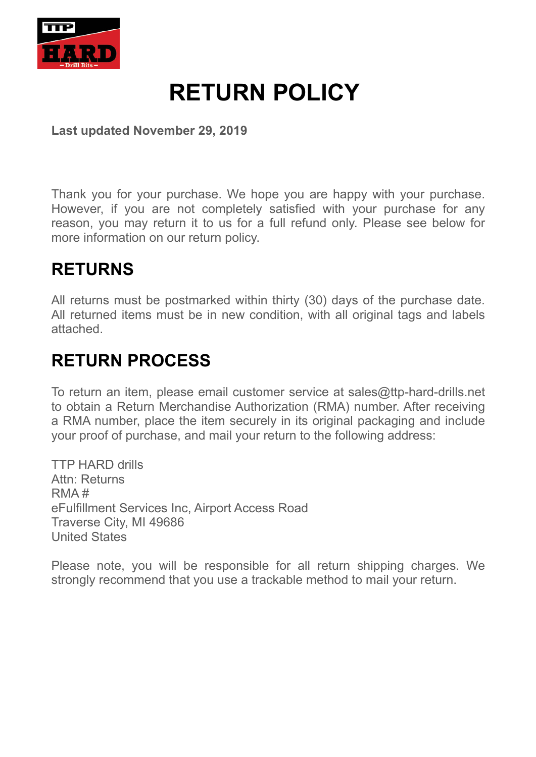

# **RETURN POLICY**

**Last updated November 29, 2019** 

Thank you for your purchase. We hope you are happy with your purchase. However, if you are not completely satisfied with your purchase for any reason, you may return it to us for a full refund only. Please see below for more information on our return policy.

#### **RETURNS**

All returns must be postmarked within thirty (30) days of the purchase date. All returned items must be in new condition, with all original tags and labels attached.

### **RETURN PROCESS**

To return an item, please email customer service at sales@ttp-hard-drills.net to obtain a Return Merchandise Authorization (RMA) number. After receiving a RMA number, place the item securely in its original packaging and include your proof of purchase, and mail your return to the following address:

TTP HARD drills Attn: Returns RMA # eFulfillment Services Inc, Airport Access Road Traverse City, MI 49686 United States

Please note, you will be responsible for all return shipping charges. We strongly recommend that you use a trackable method to mail your return.